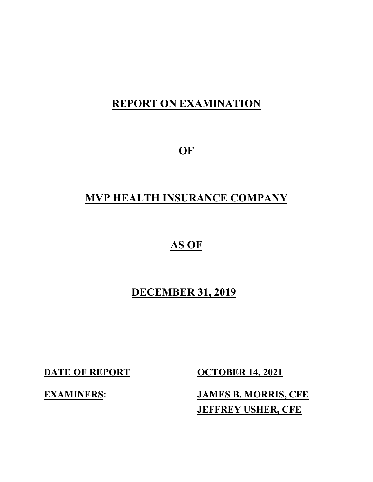# **REPORT ON EXAMINATION**

**OF**

# **MVP HEALTH INSURANCE COMPANY**

# **AS OF**

# **DECEMBER 31, 2019**

**DATE OF REPORT OCTOBER 14, 2021** 

**EXAMINERS: JAMES B. MORRIS, CFE JEFFREY USHER, CFE**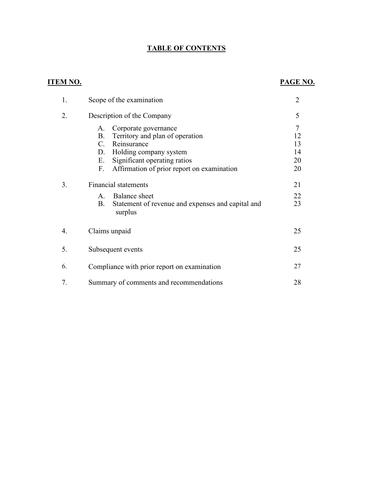### **TABLE OF CONTENTS**

### **ITEM NO. PAGE NO.**

| 1. | Scope of the examination                                                                                                                                                                                                  | $\overline{2}$                  |
|----|---------------------------------------------------------------------------------------------------------------------------------------------------------------------------------------------------------------------------|---------------------------------|
| 2. | Description of the Company                                                                                                                                                                                                | 5                               |
|    | Corporate governance<br>A.<br><b>B.</b><br>Territory and plan of operation<br>Reinsurance<br>C.<br>Holding company system<br>D.<br>Significant operating ratios<br>Е.<br>Affirmation of prior report on examination<br>F. | 7<br>12<br>13<br>14<br>20<br>20 |
| 3. | <b>Financial statements</b><br>Balance sheet<br>$A_{\cdot}$<br>Β.<br>Statement of revenue and expenses and capital and<br>surplus                                                                                         | 21<br>22<br>23                  |
| 4. | Claims unpaid                                                                                                                                                                                                             | 25                              |
| 5. | Subsequent events                                                                                                                                                                                                         | 25                              |
| 6. | Compliance with prior report on examination                                                                                                                                                                               | 27                              |
| 7. | Summary of comments and recommendations                                                                                                                                                                                   | 28                              |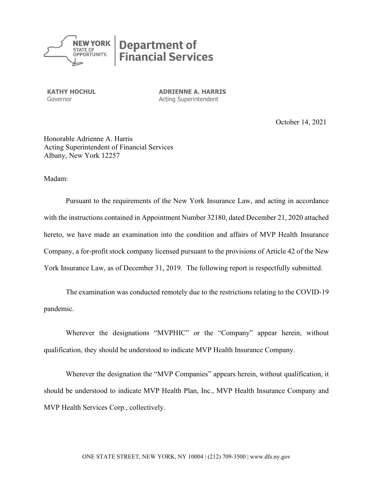

**KATHY HOCHUL ADRIENNE A. HARRIS**<br>
Governor **Acting Superintendent** Acting Superintendent

October 14, 2021

Honorable Adrienne A. Harris Acting Superintendent of Financial Services Albany, New York 12257

Madam:

Pursuant to the requirements of the New York Insurance Law, and acting in accordance with the instructions contained in Appointment Number 32180, dated December 21, 2020 attached hereto, we have made an examination into the condition and affairs of MVP Health Insurance Company, a for-profit stock company licensed pursuant to the provisions of Article 42 of the New York Insurance Law, as of December 31, 2019. The following report is respectfully submitted.

The examination was conducted remotely due to the restrictions relating to the COVID-19 pandemic.

Wherever the designations "MVPHIC" or the "Company" appear herein, without qualification, they should be understood to indicate MVP Health Insurance Company.

Wherever the designation the "MVP Companies" appears herein, without qualification, it should be understood to indicate MVP Health Plan, Inc., MVP Health Insurance Company and MVP Health Services Corp., collectively.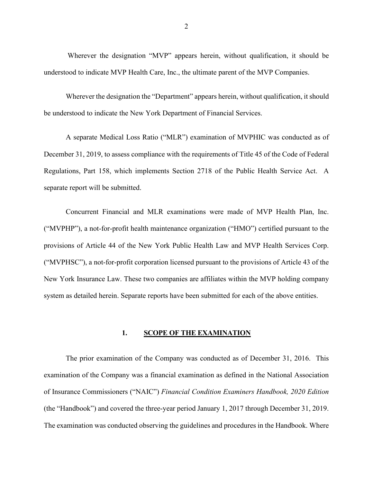Wherever the designation "MVP" appears herein, without qualification, it should be understood to indicate MVP Health Care, Inc., the ultimate parent of the MVP Companies.

Wherever the designation the "Department" appears herein, without qualification, it should be understood to indicate the New York Department of Financial Services.

A separate Medical Loss Ratio ("MLR") examination of MVPHIC was conducted as of December 31, 2019, to assess compliance with the requirements of Title 45 of the Code of Federal Regulations, Part 158, which implements Section 2718 of the Public Health Service Act. A separate report will be submitted.

Concurrent Financial and MLR examinations were made of MVP Health Plan, Inc. ("MVPHP"), a not-for-profit health maintenance organization ("HMO") certified pursuant to the provisions of Article 44 of the New York Public Health Law and MVP Health Services Corp. ("MVPHSC"), a not-for-profit corporation licensed pursuant to the provisions of Article 43 of the New York Insurance Law. These two companies are affiliates within the MVP holding company system as detailed herein. Separate reports have been submitted for each of the above entities.

#### **1. SCOPE OF THE EXAMINATION**

The prior examination of the Company was conducted as of December 31, 2016. This examination of the Company was a financial examination as defined in the National Association of Insurance Commissioners ("NAIC") *Financial Condition Examiners Handbook, 2020 Edition* (the "Handbook") and covered the three-year period January 1, 2017 through December 31, 2019. The examination was conducted observing the guidelines and procedures in the Handbook. Where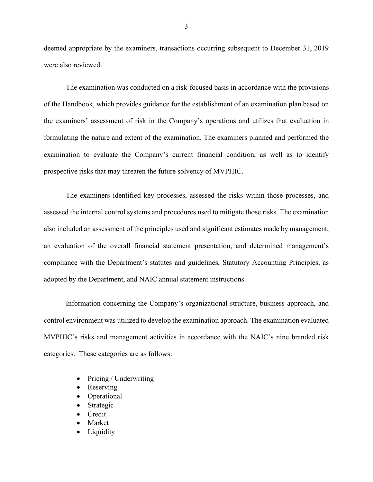deemed appropriate by the examiners, transactions occurring subsequent to December 31, 2019 were also reviewed.

The examination was conducted on a risk-focused basis in accordance with the provisions of the Handbook, which provides guidance for the establishment of an examination plan based on the examiners' assessment of risk in the Company's operations and utilizes that evaluation in formulating the nature and extent of the examination. The examiners planned and performed the examination to evaluate the Company's current financial condition, as well as to identify prospective risks that may threaten the future solvency of MVPHIC.

The examiners identified key processes, assessed the risks within those processes, and assessed the internal control systems and procedures used to mitigate those risks. The examination also included an assessment of the principles used and significant estimates made by management, an evaluation of the overall financial statement presentation, and determined management's compliance with the Department's statutes and guidelines, Statutory Accounting Principles, as adopted by the Department, and NAIC annual statement instructions.

Information concerning the Company's organizational structure, business approach, and control environment was utilized to develop the examination approach. The examination evaluated MVPHIC's risks and management activities in accordance with the NAIC's nine branded risk categories. These categories are as follows:

- Pricing / Underwriting
- Reserving
- Operational
- **Strategic**
- Credit
- **Market**
- **Liquidity**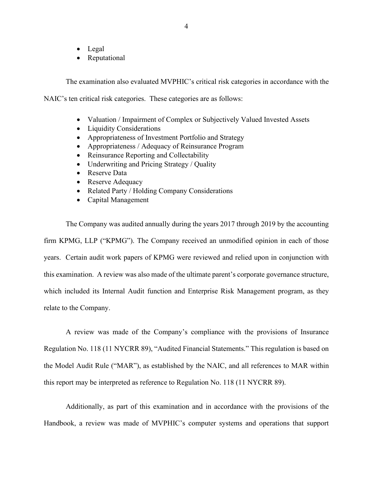- Legal
- Reputational

The examination also evaluated MVPHIC's critical risk categories in accordance with the

NAIC's ten critical risk categories. These categories are as follows:

- Valuation / Impairment of Complex or Subjectively Valued Invested Assets
- Liquidity Considerations
- Appropriateness of Investment Portfolio and Strategy
- Appropriateness / Adequacy of Reinsurance Program
- Reinsurance Reporting and Collectability
- Underwriting and Pricing Strategy / Quality
- Reserve Data
- Reserve Adequacy
- Related Party / Holding Company Considerations
- Capital Management

The Company was audited annually during the years 2017 through 2019 by the accounting firm KPMG, LLP ("KPMG"). The Company received an unmodified opinion in each of those years. Certain audit work papers of KPMG were reviewed and relied upon in conjunction with this examination. A review was also made of the ultimate parent's corporate governance structure, which included its Internal Audit function and Enterprise Risk Management program, as they relate to the Company.

A review was made of the Company's compliance with the provisions of Insurance Regulation No. 118 (11 NYCRR 89), "Audited Financial Statements." This regulation is based on the Model Audit Rule ("MAR"), as established by the NAIC, and all references to MAR within this report may be interpreted as reference to Regulation No. 118 (11 NYCRR 89).

Additionally, as part of this examination and in accordance with the provisions of the Handbook, a review was made of MVPHIC's computer systems and operations that support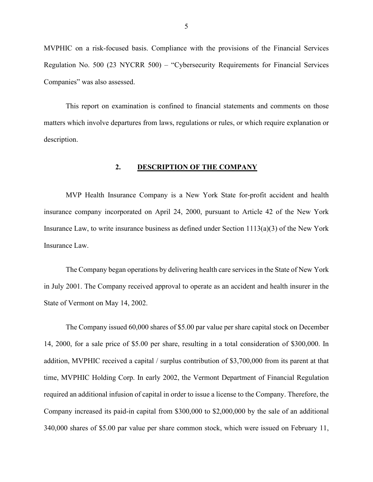MVPHIC on a risk-focused basis. Compliance with the provisions of the Financial Services Regulation No. 500 (23 NYCRR 500) – "Cybersecurity Requirements for Financial Services Companies" was also assessed.

This report on examination is confined to financial statements and comments on those matters which involve departures from laws, regulations or rules, or which require explanation or description.

#### **2. DESCRIPTION OF THE COMPANY**

MVP Health Insurance Company is a New York State for-profit accident and health insurance company incorporated on April 24, 2000, pursuant to Article 42 of the New York Insurance Law, to write insurance business as defined under Section 1113(a)(3) of the New York Insurance Law.

The Company began operations by delivering health care services in the State of New York in July 2001. The Company received approval to operate as an accident and health insurer in the State of Vermont on May 14, 2002.

The Company issued 60,000 shares of \$5.00 par value per share capital stock on December 14, 2000, for a sale price of \$5.00 per share, resulting in a total consideration of \$300,000. In addition, MVPHIC received a capital / surplus contribution of \$3,700,000 from its parent at that time, MVPHIC Holding Corp. In early 2002, the Vermont Department of Financial Regulation required an additional infusion of capital in order to issue a license to the Company. Therefore, the Company increased its paid-in capital from \$300,000 to \$2,000,000 by the sale of an additional 340,000 shares of \$5.00 par value per share common stock, which were issued on February 11,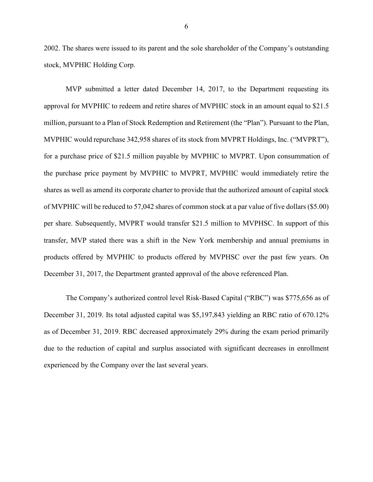2002. The shares were issued to its parent and the sole shareholder of the Company's outstanding stock, MVPHIC Holding Corp.

MVP submitted a letter dated December 14, 2017, to the Department requesting its approval for MVPHIC to redeem and retire shares of MVPHIC stock in an amount equal to \$21.5 million, pursuant to a Plan of Stock Redemption and Retirement (the "Plan"). Pursuant to the Plan, MVPHIC would repurchase 342,958 shares of its stock from MVPRT Holdings, Inc. ("MVPRT"), for a purchase price of \$21.5 million payable by MVPHIC to MVPRT. Upon consummation of the purchase price payment by MVPHIC to MVPRT, MVPHIC would immediately retire the shares as well as amend its corporate charter to provide that the authorized amount of capital stock of MVPHIC will be reduced to 57,042 shares of common stock at a par value of five dollars (\$5.00) per share. Subsequently, MVPRT would transfer \$21.5 million to MVPHSC. In support of this transfer, MVP stated there was a shift in the New York membership and annual premiums in products offered by MVPHIC to products offered by MVPHSC over the past few years. On December 31, 2017, the Department granted approval of the above referenced Plan.

The Company's authorized control level Risk-Based Capital ("RBC") was \$775,656 as of December 31, 2019. Its total adjusted capital was \$5,197,843 yielding an RBC ratio of 670.12% as of December 31, 2019. RBC decreased approximately 29% during the exam period primarily due to the reduction of capital and surplus associated with significant decreases in enrollment experienced by the Company over the last several years.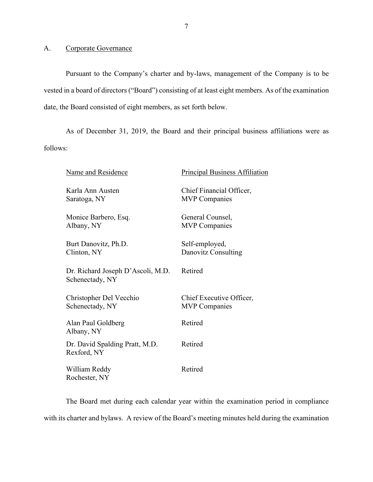A. Corporate Governance

Pursuant to the Company's charter and by-laws, management of the Company is to be vested in a board of directors ("Board") consisting of at least eight members. As of the examination date, the Board consisted of eight members, as set forth below.

As of December 31, 2019, the Board and their principal business affiliations were as follows:

| Name and Residence                                   | <b>Principal Business Affiliation</b>            |
|------------------------------------------------------|--------------------------------------------------|
| Karla Ann Austen<br>Saratoga, NY                     | Chief Financial Officer,<br><b>MVP</b> Companies |
| Monice Barbero, Esq.<br>Albany, NY                   | General Counsel,<br><b>MVP</b> Companies         |
| Burt Danovitz, Ph.D.<br>Clinton, NY                  | Self-employed,<br>Danovitz Consulting            |
| Dr. Richard Joseph D'Ascoli, M.D.<br>Schenectady, NY | Retired                                          |
| Christopher Del Vecchio<br>Schenectady, NY           | Chief Executive Officer,<br><b>MVP</b> Companies |
| Alan Paul Goldberg<br>Albany, NY                     | Retired                                          |
| Dr. David Spalding Pratt, M.D.<br>Rexford, NY        | Retired                                          |
| William Reddy<br>Rochester, NY                       | Retired                                          |

The Board met during each calendar year within the examination period in compliance with its charter and bylaws. A review of the Board's meeting minutes held during the examination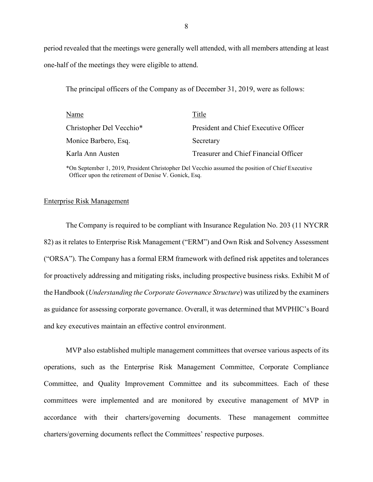period revealed that the meetings were generally well attended, with all members attending at least one-half of the meetings they were eligible to attend.

The principal officers of the Company as of December 31, 2019, were as follows:

| Name                     | Title                                 |
|--------------------------|---------------------------------------|
| Christopher Del Vecchio* | President and Chief Executive Officer |
| Monice Barbero, Esq.     | Secretary                             |
| Karla Ann Austen         | Treasurer and Chief Financial Officer |

\*On September 1, 2019, President Christopher Del Vecchio assumed the position of Chief Executive Officer upon the retirement of Denise V. Gonick, Esq.

#### Enterprise Risk Management

The Company is required to be compliant with Insurance Regulation No. 203 (11 NYCRR 82) as it relates to Enterprise Risk Management ("ERM") and Own Risk and Solvency Assessment ("ORSA"). The Company has a formal ERM framework with defined risk appetites and tolerances for proactively addressing and mitigating risks, including prospective business risks. Exhibit M of the Handbook (*Understanding the Corporate Governance Structure*) was utilized by the examiners as guidance for assessing corporate governance. Overall, it was determined that MVPHIC's Board and key executives maintain an effective control environment.

MVP also established multiple management committees that oversee various aspects of its operations, such as the Enterprise Risk Management Committee, Corporate Compliance Committee, and Quality Improvement Committee and its subcommittees. Each of these committees were implemented and are monitored by executive management of MVP in accordance with their charters/governing documents. These management committee charters/governing documents reflect the Committees' respective purposes.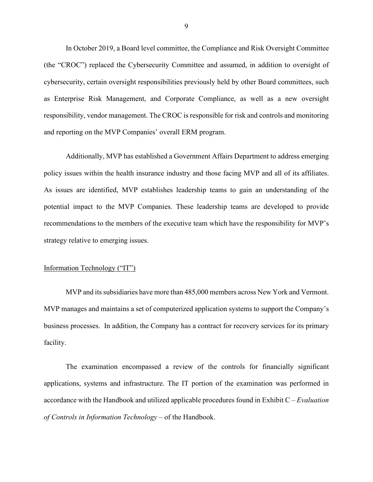In October 2019, a Board level committee, the Compliance and Risk Oversight Committee (the "CROC") replaced the Cybersecurity Committee and assumed, in addition to oversight of cybersecurity, certain oversight responsibilities previously held by other Board committees, such as Enterprise Risk Management, and Corporate Compliance, as well as a new oversight responsibility, vendor management. The CROC is responsible for risk and controls and monitoring and reporting on the MVP Companies' overall ERM program.

Additionally, MVP has established a Government Affairs Department to address emerging policy issues within the health insurance industry and those facing MVP and all of its affiliates. As issues are identified, MVP establishes leadership teams to gain an understanding of the potential impact to the MVP Companies. These leadership teams are developed to provide recommendations to the members of the executive team which have the responsibility for MVP's strategy relative to emerging issues.

#### Information Technology ("IT")

MVP and its subsidiaries have more than 485,000 members across New York and Vermont. MVP manages and maintains a set of computerized application systems to support the Company's business processes. In addition, the Company has a contract for recovery services for its primary facility.

The examination encompassed a review of the controls for financially significant applications, systems and infrastructure. The IT portion of the examination was performed in accordance with the Handbook and utilized applicable procedures found in Exhibit C – *Evaluation of Controls in Information Technology* – of the Handbook.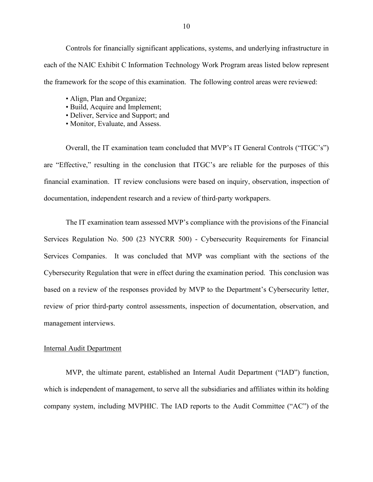Controls for financially significant applications, systems, and underlying infrastructure in each of the NAIC Exhibit C Information Technology Work Program areas listed below represent the framework for the scope of this examination. The following control areas were reviewed:

- Align, Plan and Organize;
- Build, Acquire and Implement;
- Deliver, Service and Support; and
- Monitor, Evaluate, and Assess.

Overall, the IT examination team concluded that MVP's IT General Controls ("ITGC's") are "Effective," resulting in the conclusion that ITGC's are reliable for the purposes of this financial examination. IT review conclusions were based on inquiry, observation, inspection of documentation, independent research and a review of third-party workpapers.

The IT examination team assessed MVP's compliance with the provisions of the Financial Services Regulation No. 500 (23 NYCRR 500) - Cybersecurity Requirements for Financial Services Companies. It was concluded that MVP was compliant with the sections of the Cybersecurity Regulation that were in effect during the examination period. This conclusion was based on a review of the responses provided by MVP to the Department's Cybersecurity letter, review of prior third-party control assessments, inspection of documentation, observation, and management interviews.

#### Internal Audit Department

MVP, the ultimate parent, established an Internal Audit Department ("IAD") function, which is independent of management, to serve all the subsidiaries and affiliates within its holding company system, including MVPHIC. The IAD reports to the Audit Committee ("AC") of the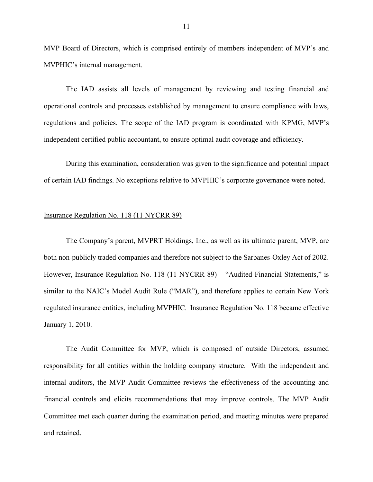MVP Board of Directors, which is comprised entirely of members independent of MVP's and MVPHIC's internal management.

The IAD assists all levels of management by reviewing and testing financial and operational controls and processes established by management to ensure compliance with laws, regulations and policies. The scope of the IAD program is coordinated with KPMG, MVP's independent certified public accountant, to ensure optimal audit coverage and efficiency.

During this examination, consideration was given to the significance and potential impact of certain IAD findings. No exceptions relative to MVPHIC's corporate governance were noted.

#### Insurance Regulation No. 118 (11 NYCRR 89)

The Company's parent, MVPRT Holdings, Inc., as well as its ultimate parent, MVP, are both non-publicly traded companies and therefore not subject to the Sarbanes-Oxley Act of 2002. However, Insurance Regulation No. 118 (11 NYCRR 89) – "Audited Financial Statements," is similar to the NAIC's Model Audit Rule ("MAR"), and therefore applies to certain New York regulated insurance entities, including MVPHIC. Insurance Regulation No. 118 became effective January 1, 2010.

The Audit Committee for MVP, which is composed of outside Directors, assumed responsibility for all entities within the holding company structure. With the independent and internal auditors, the MVP Audit Committee reviews the effectiveness of the accounting and financial controls and elicits recommendations that may improve controls. The MVP Audit Committee met each quarter during the examination period, and meeting minutes were prepared and retained.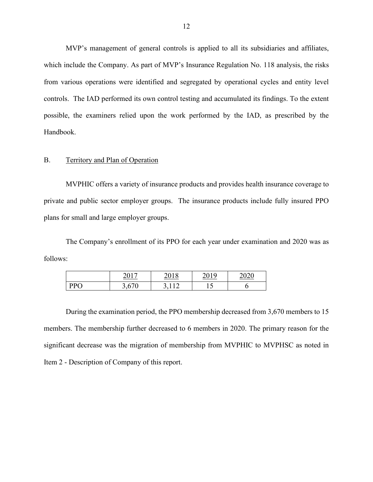MVP's management of general controls is applied to all its subsidiaries and affiliates, which include the Company. As part of MVP's Insurance Regulation No. 118 analysis, the risks from various operations were identified and segregated by operational cycles and entity level controls. The IAD performed its own control testing and accumulated its findings. To the extent possible, the examiners relied upon the work performed by the IAD, as prescribed by the Handbook.

#### B. Territory and Plan of Operation

MVPHIC offers a variety of insurance products and provides health insurance coverage to private and public sector employer groups. The insurance products include fully insured PPO plans for small and large employer groups.

The Company's enrollment of its PPO for each year under examination and 2020 was as follows:

|     | 2017<br>$-\mathbf{v}$ . | 10                       | 1 Q |  |
|-----|-------------------------|--------------------------|-----|--|
| DC. | $\sqrt{2}$              | $\sim$                   | -   |  |
| ◡   | J,V                     | $\overline{\phantom{0}}$ | ⊥ັ  |  |

During the examination period, the PPO membership decreased from 3,670 members to 15 members. The membership further decreased to 6 members in 2020. The primary reason for the significant decrease was the migration of membership from MVPHIC to MVPHSC as noted in Item 2 - Description of Company of this report.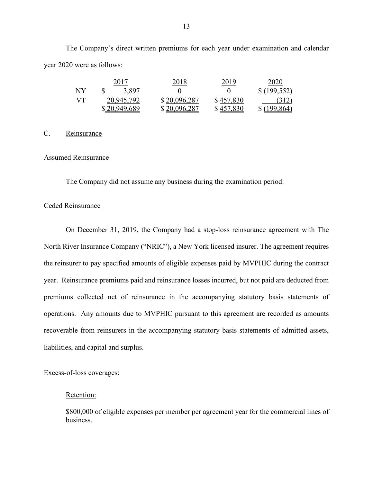The Company's direct written premiums for each year under examination and calendar year 2020 were as follows:

|           | 2017         | 2018         | 2019      | 2020         |
|-----------|--------------|--------------|-----------|--------------|
| <b>NY</b> | 3,897        |              |           | \$(199,552)  |
| - VT      | 20,945,792   | \$20,096,287 | \$457,830 | (312)        |
|           | \$20,949,689 | \$20,096,287 | \$457,830 | \$(199, 864) |

#### C. Reinsurance

#### Assumed Reinsurance

The Company did not assume any business during the examination period.

#### Ceded Reinsurance

On December 31, 2019, the Company had a stop-loss reinsurance agreement with The North River Insurance Company ("NRIC"), a New York licensed insurer. The agreement requires the reinsurer to pay specified amounts of eligible expenses paid by MVPHIC during the contract year. Reinsurance premiums paid and reinsurance losses incurred, but not paid are deducted from premiums collected net of reinsurance in the accompanying statutory basis statements of operations. Any amounts due to MVPHIC pursuant to this agreement are recorded as amounts recoverable from reinsurers in the accompanying statutory basis statements of admitted assets, liabilities, and capital and surplus.

#### Excess-of-loss coverages:

#### Retention:

\$800,000 of eligible expenses per member per agreement year for the commercial lines of business.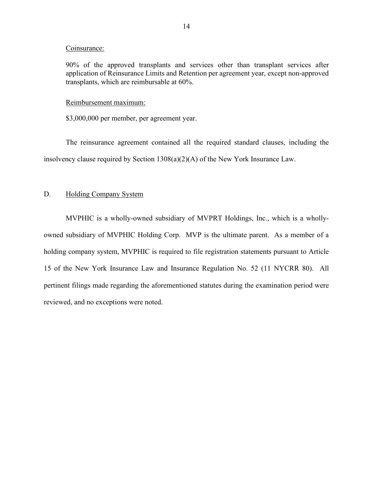#### Coinsurance:

90% of the approved transplants and services other than transplant services after application of Reinsurance Limits and Retention per agreement year, except non-approved transplants, which are reimbursable at 60%.

#### Reimbursement maximum:

\$3,000,000 per member, per agreement year.

The reinsurance agreement contained all the required standard clauses, including the insolvency clause required by Section 1308(a)(2)(A) of the New York Insurance Law.

#### D. Holding Company System

MVPHIC is a wholly-owned subsidiary of MVPRT Holdings, Inc., which is a whollyowned subsidiary of MVPHIC Holding Corp. MVP is the ultimate parent. As a member of a holding company system, MVPHIC is required to file registration statements pursuant to Article 15 of the New York Insurance Law and Insurance Regulation No. 52 (11 NYCRR 80). All pertinent filings made regarding the aforementioned statutes during the examination period were reviewed, and no exceptions were noted.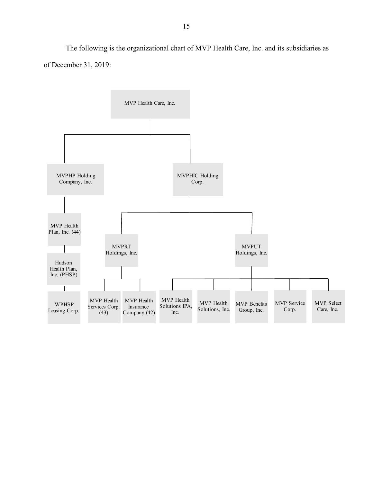The following is the organizational chart of MVP Health Care, Inc. and its subsidiaries as of December 31, 2019:

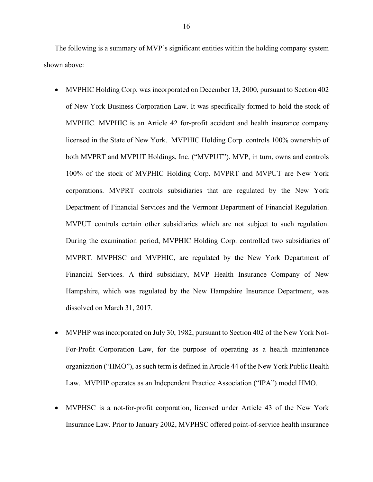The following is a summary of MVP's significant entities within the holding company system shown above:

- MVPHIC Holding Corp. was incorporated on December 13, 2000, pursuant to Section 402 of New York Business Corporation Law. It was specifically formed to hold the stock of MVPHIC. MVPHIC is an Article 42 for-profit accident and health insurance company licensed in the State of New York. MVPHIC Holding Corp. controls 100% ownership of both MVPRT and MVPUT Holdings, Inc. ("MVPUT"). MVP, in turn, owns and controls 100% of the stock of MVPHIC Holding Corp. MVPRT and MVPUT are New York corporations. MVPRT controls subsidiaries that are regulated by the New York Department of Financial Services and the Vermont Department of Financial Regulation. MVPUT controls certain other subsidiaries which are not subject to such regulation. During the examination period, MVPHIC Holding Corp. controlled two subsidiaries of MVPRT. MVPHSC and MVPHIC, are regulated by the New York Department of Financial Services. A third subsidiary, MVP Health Insurance Company of New Hampshire, which was regulated by the New Hampshire Insurance Department, was dissolved on March 31, 2017.
- MVPHP was incorporated on July 30, 1982, pursuant to Section 402 of the New York Not-For-Profit Corporation Law, for the purpose of operating as a health maintenance organization ("HMO"), as such term is defined in Article 44 of the New York Public Health Law. MVPHP operates as an Independent Practice Association ("IPA") model HMO.
- MVPHSC is a not-for-profit corporation, licensed under Article 43 of the New York Insurance Law. Prior to January 2002, MVPHSC offered point-of-service health insurance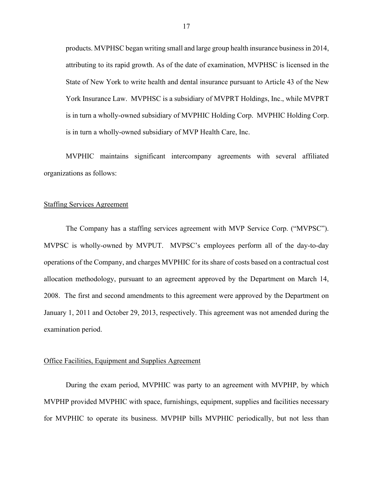products. MVPHSC began writing small and large group health insurance business in 2014, attributing to its rapid growth. As of the date of examination, MVPHSC is licensed in the State of New York to write health and dental insurance pursuant to Article 43 of the New York Insurance Law. MVPHSC is a subsidiary of MVPRT Holdings, Inc., while MVPRT is in turn a wholly-owned subsidiary of MVPHIC Holding Corp. MVPHIC Holding Corp. is in turn a wholly-owned subsidiary of MVP Health Care, Inc.

MVPHIC maintains significant intercompany agreements with several affiliated organizations as follows:

#### Staffing Services Agreement

The Company has a staffing services agreement with MVP Service Corp. ("MVPSC"). MVPSC is wholly-owned by MVPUT. MVPSC's employees perform all of the day-to-day operations of the Company, and charges MVPHIC for its share of costs based on a contractual cost allocation methodology, pursuant to an agreement approved by the Department on March 14, 2008. The first and second amendments to this agreement were approved by the Department on January 1, 2011 and October 29, 2013, respectively. This agreement was not amended during the examination period.

#### Office Facilities, Equipment and Supplies Agreement

During the exam period, MVPHIC was party to an agreement with MVPHP, by which MVPHP provided MVPHIC with space, furnishings, equipment, supplies and facilities necessary for MVPHIC to operate its business. MVPHP bills MVPHIC periodically, but not less than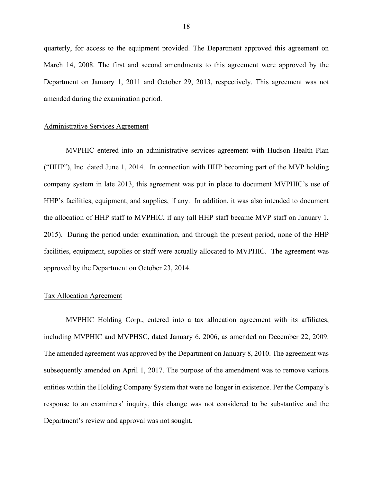quarterly, for access to the equipment provided. The Department approved this agreement on March 14, 2008. The first and second amendments to this agreement were approved by the Department on January 1, 2011 and October 29, 2013, respectively. This agreement was not amended during the examination period.

#### Administrative Services Agreement

MVPHIC entered into an administrative services agreement with Hudson Health Plan ("HHP"), Inc. dated June 1, 2014. In connection with HHP becoming part of the MVP holding company system in late 2013, this agreement was put in place to document MVPHIC's use of HHP's facilities, equipment, and supplies, if any. In addition, it was also intended to document the allocation of HHP staff to MVPHIC, if any (all HHP staff became MVP staff on January 1, 2015). During the period under examination, and through the present period, none of the HHP facilities, equipment, supplies or staff were actually allocated to MVPHIC. The agreement was approved by the Department on October 23, 2014.

#### Tax Allocation Agreement

MVPHIC Holding Corp., entered into a tax allocation agreement with its affiliates, including MVPHIC and MVPHSC, dated January 6, 2006, as amended on December 22, 2009. The amended agreement was approved by the Department on January 8, 2010. The agreement was subsequently amended on April 1, 2017. The purpose of the amendment was to remove various entities within the Holding Company System that were no longer in existence. Per the Company's response to an examiners' inquiry, this change was not considered to be substantive and the Department's review and approval was not sought.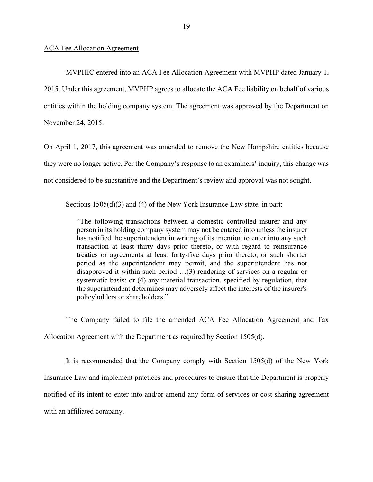#### ACA Fee Allocation Agreement

MVPHIC entered into an ACA Fee Allocation Agreement with MVPHP dated January 1, 2015. Under this agreement, MVPHP agrees to allocate the ACA Fee liability on behalf of various entities within the holding company system. The agreement was approved by the Department on November 24, 2015.

On April 1, 2017, this agreement was amended to remove the New Hampshire entities because they were no longer active. Per the Company's response to an examiners' inquiry, this change was not considered to be substantive and the Department's review and approval was not sought.

Sections 1505(d)(3) and (4) of the New York Insurance Law state, in part:

"The following transactions between a domestic controlled insurer and any person in its holding company system may not be entered into unless the insurer has notified the superintendent in writing of its intention to enter into any such transaction at least thirty days prior thereto, or with regard to reinsurance treaties or agreements at least forty-five days prior thereto, or such shorter period as the superintendent may permit, and the superintendent has not disapproved it within such period …(3) rendering of services on a regular or systematic basis; or (4) any material transaction, specified by regulation, that the superintendent determines may adversely affect the interests of the insurer's policyholders or shareholders."

The Company failed to file the amended ACA Fee Allocation Agreement and Tax Allocation Agreement with the Department as required by Section 1505(d).

It is recommended that the Company comply with Section 1505(d) of the New York Insurance Law and implement practices and procedures to ensure that the Department is properly notified of its intent to enter into and/or amend any form of services or cost-sharing agreement with an affiliated company.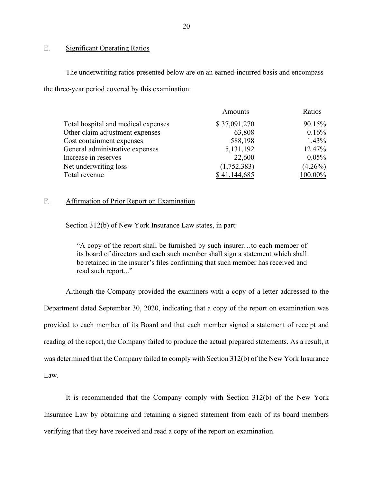#### E. Significant Operating Ratios

The underwriting ratios presented below are on an earned-incurred basis and encompass the three-year period covered by this examination:

| Amounts      | Ratios         |
|--------------|----------------|
| \$37,091,270 | 90.15%         |
| 63,808       | 0.16%          |
| 588,198      | 1.43%          |
| 5,131,192    | 12.47%         |
| 22,600       | 0.05%          |
| (1,752,383)  | $(4.26\%)$     |
| \$41,144,685 | <u>100.00%</u> |
|              |                |

#### F. Affirmation of Prior Report on Examination

Section 312(b) of New York Insurance Law states, in part:

"A copy of the report shall be furnished by such insurer…to each member of its board of directors and each such member shall sign a statement which shall be retained in the insurer's files confirming that such member has received and read such report..."

Although the Company provided the examiners with a copy of a letter addressed to the Department dated September 30, 2020, indicating that a copy of the report on examination was provided to each member of its Board and that each member signed a statement of receipt and reading of the report, the Company failed to produce the actual prepared statements. As a result, it was determined that the Company failed to comply with Section 312(b) of the New York Insurance Law.

It is recommended that the Company comply with Section 312(b) of the New York Insurance Law by obtaining and retaining a signed statement from each of its board members verifying that they have received and read a copy of the report on examination.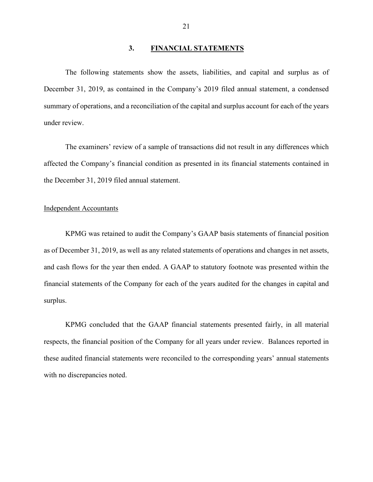#### **3. FINANCIAL STATEMENTS**

The following statements show the assets, liabilities, and capital and surplus as of December 31, 2019, as contained in the Company's 2019 filed annual statement, a condensed summary of operations, and a reconciliation of the capital and surplus account for each of the years under review.

The examiners' review of a sample of transactions did not result in any differences which affected the Company's financial condition as presented in its financial statements contained in the December 31, 2019 filed annual statement.

#### Independent Accountants

KPMG was retained to audit the Company's GAAP basis statements of financial position as of December 31, 2019, as well as any related statements of operations and changes in net assets, and cash flows for the year then ended. A GAAP to statutory footnote was presented within the financial statements of the Company for each of the years audited for the changes in capital and surplus.

KPMG concluded that the GAAP financial statements presented fairly, in all material respects, the financial position of the Company for all years under review. Balances reported in these audited financial statements were reconciled to the corresponding years' annual statements with no discrepancies noted.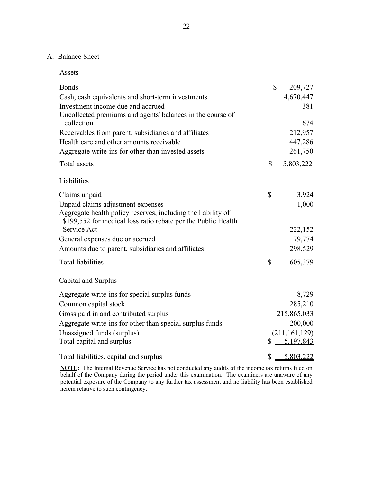#### A. Balance Sheet

Assets

| <b>Bonds</b>                                                                                                                  | \$<br>209,727   |
|-------------------------------------------------------------------------------------------------------------------------------|-----------------|
| Cash, cash equivalents and short-term investments                                                                             | 4,670,447       |
| Investment income due and accrued                                                                                             | 381             |
| Uncollected premiums and agents' balances in the course of<br>collection                                                      | 674             |
| Receivables from parent, subsidiaries and affiliates                                                                          | 212,957         |
| Health care and other amounts receivable                                                                                      | 447,286         |
|                                                                                                                               |                 |
| Aggregate write-ins for other than invested assets                                                                            | 261,750         |
| Total assets                                                                                                                  | \$<br>5,803,222 |
| Liabilities                                                                                                                   |                 |
| Claims unpaid                                                                                                                 | \$<br>3,924     |
| Unpaid claims adjustment expenses                                                                                             | 1,000           |
| Aggregate health policy reserves, including the liability of<br>\$199,552 for medical loss ratio rebate per the Public Health |                 |
| Service Act                                                                                                                   | 222,152         |
| General expenses due or accrued                                                                                               | 79,774          |
| Amounts due to parent, subsidiaries and affiliates                                                                            | 298,529         |
| <b>Total liabilities</b>                                                                                                      | \$<br>605,379   |
| Capital and Surplus                                                                                                           |                 |
| Aggregate write-ins for special surplus funds                                                                                 | 8,729           |
| Common capital stock                                                                                                          | 285,210         |
| Gross paid in and contributed surplus                                                                                         | 215,865,033     |
| Aggregate write-ins for other than special surplus funds                                                                      | 200,000         |
| Unassigned funds (surplus)                                                                                                    | (211, 161, 129) |
| Total capital and surplus                                                                                                     | \$<br>5,197,843 |
| Total liabilities, capital and surplus                                                                                        | \$<br>5,803,222 |

**NOTE:** The Internal Revenue Service has not conducted any audits of the income tax returns filed on behalf of the Company during the period under this examination. The examiners are unaware of any potential exposure of the Company to any further tax assessment and no liability has been established herein relative to such contingency.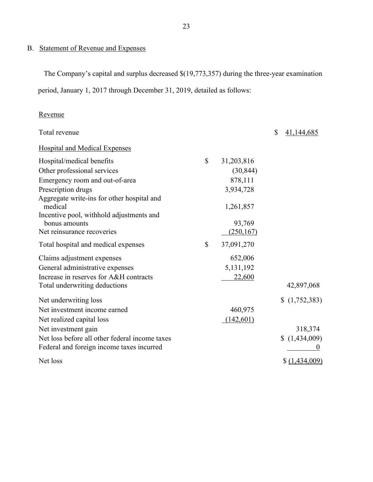## B. Statement of Revenue and Expenses

The Company's capital and surplus decreased \$(19,773,357) during the three-year examination period, January 1, 2017 through December 31, 2019, detailed as follows:

### Revenue

| Total revenue                                         |                  | \$<br>41,144,685 |
|-------------------------------------------------------|------------------|------------------|
| <b>Hospital and Medical Expenses</b>                  |                  |                  |
| Hospital/medical benefits                             | \$<br>31,203,816 |                  |
| Other professional services                           | (30, 844)        |                  |
| Emergency room and out-of-area                        | 878,111          |                  |
| Prescription drugs                                    | 3,934,728        |                  |
| Aggregate write-ins for other hospital and<br>medical | 1,261,857        |                  |
| Incentive pool, withhold adjustments and              |                  |                  |
| bonus amounts                                         | 93,769           |                  |
| Net reinsurance recoveries                            | (250, 167)       |                  |
| Total hospital and medical expenses                   | \$<br>37,091,270 |                  |
| Claims adjustment expenses                            | 652,006          |                  |
| General administrative expenses                       | 5, 131, 192      |                  |
| Increase in reserves for A&H contracts                | 22,600           |                  |
| Total underwriting deductions                         |                  | 42,897,068       |
| Net underwriting loss                                 |                  | (1,752,383)      |
| Net investment income earned                          | 460,975          |                  |
| Net realized capital loss                             | (142, 601)       |                  |
| Net investment gain                                   |                  | 318,374          |
| Net loss before all other federal income taxes        |                  | (1,434,009)      |
| Federal and foreign income taxes incurred             |                  |                  |
| Net loss                                              |                  | \$ (1,434,009)   |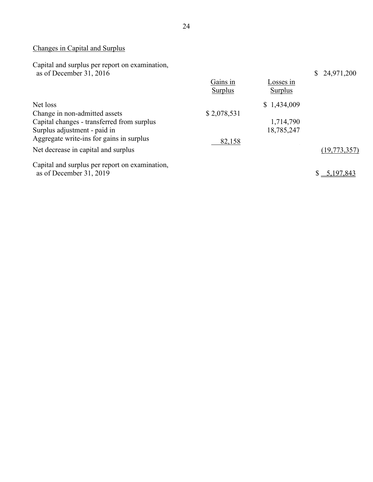## Changes in Capital and Surplus

Capital and surplus per report on examination, as of December 31, 2016 \$ 24,971,200

|                                                | Gains in<br>Surplus | Losses in<br>Surplus |                |
|------------------------------------------------|---------------------|----------------------|----------------|
| Net loss                                       |                     | \$1,434,009          |                |
| Change in non-admitted assets                  | \$2,078,531         |                      |                |
| Capital changes - transferred from surplus     |                     | 1,714,790            |                |
| Surplus adjustment - paid in                   |                     | 18,785,247           |                |
| Aggregate write-ins for gains in surplus       | 82,158              |                      |                |
| Net decrease in capital and surplus            |                     |                      | (19, 773, 357) |
| Capital and surplus per report on examination, |                     |                      |                |
| as of December 31, 2019                        |                     |                      | 5,197,843      |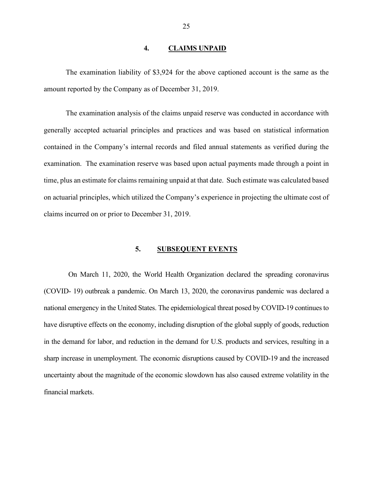#### **4. CLAIMS UNPAID**

The examination liability of \$3,924 for the above captioned account is the same as the amount reported by the Company as of December 31, 2019.

The examination analysis of the claims unpaid reserve was conducted in accordance with generally accepted actuarial principles and practices and was based on statistical information contained in the Company's internal records and filed annual statements as verified during the examination. The examination reserve was based upon actual payments made through a point in time, plus an estimate for claims remaining unpaid at that date. Such estimate was calculated based on actuarial principles, which utilized the Company's experience in projecting the ultimate cost of claims incurred on or prior to December 31, 2019.

#### **5. SUBSEQUENT EVENTS**

On March 11, 2020, the World Health Organization declared the spreading coronavirus (COVID- 19) outbreak a pandemic. On March 13, 2020, the coronavirus pandemic was declared a national emergency in the United States. The epidemiological threat posed by COVID-19 continues to have disruptive effects on the economy, including disruption of the global supply of goods, reduction in the demand for labor, and reduction in the demand for U.S. products and services, resulting in a sharp increase in unemployment. The economic disruptions caused by COVID-19 and the increased uncertainty about the magnitude of the economic slowdown has also caused extreme volatility in the financial markets.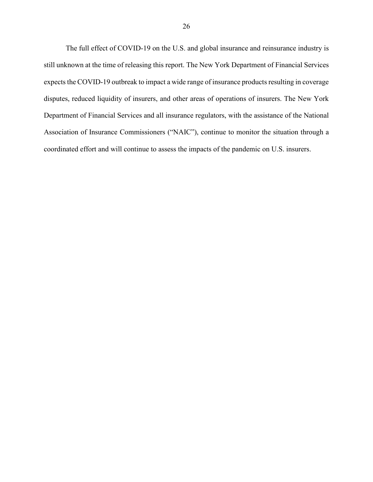The full effect of COVID-19 on the U.S. and global insurance and reinsurance industry is still unknown at the time of releasing this report. The New York Department of Financial Services expects the COVID-19 outbreak to impact a wide range of insurance products resulting in coverage disputes, reduced liquidity of insurers, and other areas of operations of insurers. The New York Department of Financial Services and all insurance regulators, with the assistance of the National Association of Insurance Commissioners ("NAIC"), continue to monitor the situation through a coordinated effort and will continue to assess the impacts of the pandemic on U.S. insurers.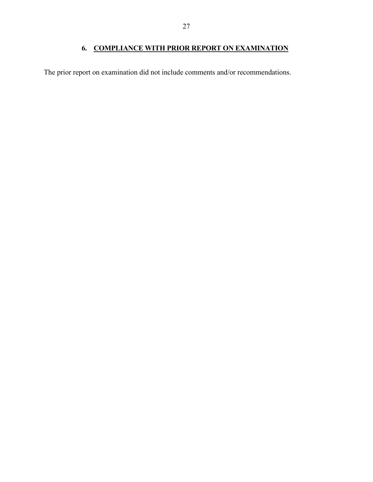## **6. COMPLIANCE WITH PRIOR REPORT ON EXAMINATION**

The prior report on examination did not include comments and/or recommendations.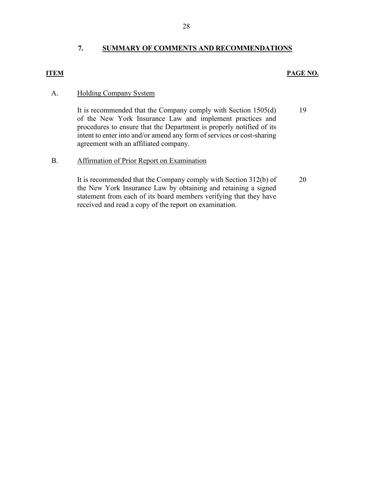### **7. SUMMARY OF COMMENTS AND RECOMMENDATIONS**

#### **ITEM PAGE NO.**

#### A. Holding Company System

It is recommended that the Company comply with Section 1505(d) of the New York Insurance Law and implement practices and procedures to ensure that the Department is properly notified of its intent to enter into and/or amend any form of services or cost-sharing agreement with an affiliated company. 19

#### B. Affirmation of Prior Report on Examination

It is recommended that the Company comply with Section 312(b) of the New York Insurance Law by obtaining and retaining a signed statement from each of its board members verifying that they have received and read a copy of the report on examination. 20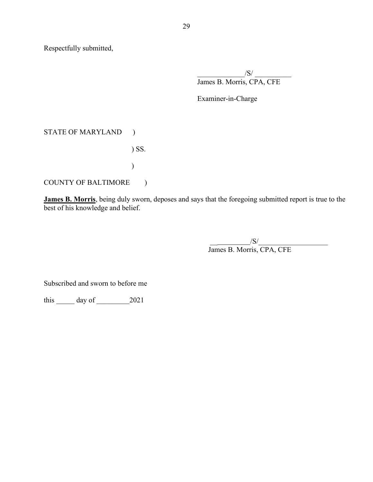Respectfully submitted,

 $\sqrt{S}/$   $\sqrt{S}/$   $\sqrt{S}/$   $\sqrt{S}/$   $\sqrt{S}/$   $\sqrt{S}/$   $\sqrt{S}/$   $\sqrt{S}/$   $\sqrt{S}/$   $\sqrt{S}/$   $\sqrt{S}/$   $\sqrt{S}/$   $\sqrt{S}/$   $\sqrt{S}/$   $\sqrt{S}/$   $\sqrt{S}/$   $\sqrt{S}/$   $\sqrt{S}/$   $\sqrt{S}/$   $\sqrt{S}/$   $\sqrt{S}/$   $\sqrt{S}/$   $\sqrt{S}/$   $\sqrt{S}/$   $\sqrt{S}/$   $\sqrt{S}/$   $\sqrt{S}/$   $\sqrt{S$ James B. Morris, CPA, CFE

Examiner-in-Charge

#### STATE OF MARYLAND )

) SS.

# COUNTY OF BALTIMORE )

 $\hspace{0.6cm}$ 

**James B. Morris**, being duly sworn, deposes and says that the foregoing submitted report is true to the best of his knowledge and belief.

> $/S/$ James B. Morris, CPA, CFE

Subscribed and sworn to before me

this day of 2021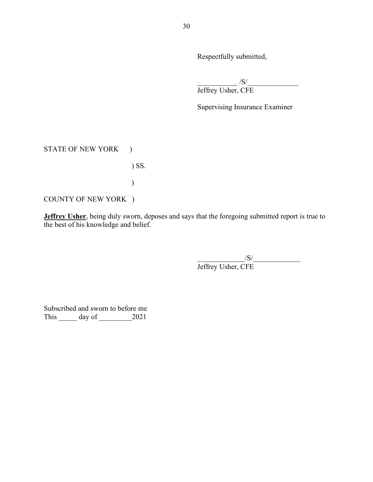Respectfully submitted,

 $\frac{1}{10}$  /S/ $\frac{1}{10}$ 

Jeffrey Usher, CFE

Supervising Insurance Examiner

#### STATE OF NEW YORK )

### ) SS.

 $\hspace{0.6cm}$ 

COUNTY OF NEW YORK )

**Jeffrey Usher**, being duly sworn, deposes and says that the foregoing submitted report is true to the best of his knowledge and belief.

> $\sqrt{S/2}$ Jeffrey Usher, CFE

Subscribed and sworn to before me This day of 2021